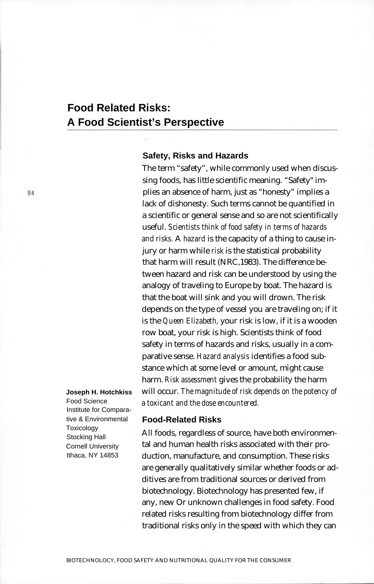# **Food Related Risks: A Food Scientist's Perspective**

#### **Safety, Risks and Hazards**

The term "safety", while commonly used when discussing foods, has little scientific meaning. "Safety" implies an absence of harm, just as "honesty" implies a lack of dishonesty. Such terms cannot be quantified in a scientific or general sense and so are not scientifically useful. *Scientists think of food safety in terms of hazards and risks.* A *hazard* is the capacity of a thing to cause injury or harm while *risk* is the statistical probability that harm will result (NRC,1983). The difference between hazard and risk can be understood by using the analogy of traveling to Europe by boat. The hazard is that the boat will sink and you will drown. The risk depends on the type of vessel you are traveling on; if it is the *Queen Elizabeth,* your risk is low, if it is a wooden row boat, your risk is high. Scientists think of food safety in terms of hazards and risks, usually in a comparative sense. *Hazard analysis* identifies a food substance which at some level or amount, might cause harm. *Risk assessment* gives the probability the harm will occur. *The magnitude of risk depends on the potency of a toxicant and the dose encountered.*

## **Joseph H. Hotchkiss**

Food Science Institute for Comparative & Environmental **Toxicology** Stocking Hall Cornell University Ithaca, NY 14853

## **Food-Related Risks**

All foods, regardless of source, have both environmental and human health risks associated with their production, manufacture, and consumption. These risks are generally qualitatively similar whether foods or additives are from traditional sources or derived from biotechnology. Biotechnology has presented few, if any, new Or unknown challenges in food safety. Food related risks resulting from biotechnology differ from traditional risks only in the speed with which they can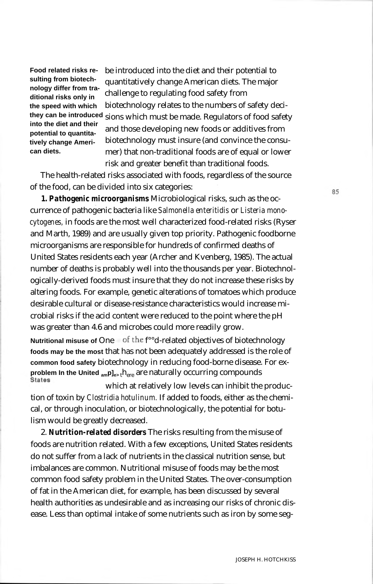**Food related risks resulting from biotechnology differ from traditional risks only in the speed with which into the diet and their potential to quantitatively change American diets.**

be introduced into the diet and their potential to quantitatively change American diets. The major challenge to regulating food safety from biotechnology relates to the numbers of safety decithey can be introduced sions which must be made. Regulators of food safety and those developing new foods or additives from biotechnology must insure (and convince the consumer) that non-traditional foods are of equal or lower risk and greater benefit than traditional foods.

The health-related risks associated with foods, regardless of the source of the food, can be divided into six categories:

*1. Pathogenic microorganisms* Microbiological risks, such as the occurrence of pathogenic bacteria like *Salmonella enteritidis* or *Listeria monocytogenes,* in foods are the most well characterized food-related risks (Ryser and Marth, 1989) and are usually given top priority. Pathogenic foodborne microorganisms are responsible for hundreds of confirmed deaths of United States residents each year (Archer and Kvenberg, 1985). The actual number of deaths is probably well into the thousands per year. Biotechnologically-derived foods must insure that they do not increase these risks by altering foods. For example, genetic alterations of tomatoes which produce desirable cultural or disease-resistance characteristics would increase microbial risks if the acid content were reduced to the point where the pH was greater than 4.6 and microbes could more readily grow.

Nutritional misuse of One of the f<sup>oo</sup>d-related objectives of biotechnology **foods may be the most** that has not been adequately addressed is the role of **common food safety** biotechnology in reducing food-borne disease. For ex**problem In the United amp]e>** <sup>t</sup>here are naturally occurring compounds

which at relatively low levels can inhibit the production of toxin by *Clostridia hotulinum.* If added to foods, either as the chemical, or through inoculation, or biotechnologically, the potential for botulism would be greatly decreased.

2. *Nutrition-related disorders* The risks resulting from the misuse of foods are nutrition related. With a few exceptions, United States residents do not suffer from a lack of nutrients in the classical nutrition sense, but imbalances are common. Nutritional misuse of foods may be the most common food safety problem in the United States. The over-consumption of fat in the American diet, for example, has been discussed by several health authorities as undesirable and as increasing our risks of chronic disease. Less than optimal intake of some nutrients such as iron by some seg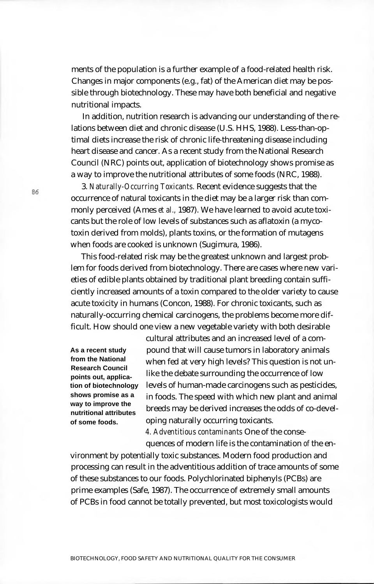ments of the population is a further example of a food-related health risk. Changes in major components (e.g., fat) of the American diet may be possible through biotechnology. These may have both beneficial and negative nutritional impacts.

In addition, nutrition research is advancing our understanding of the relations between diet and chronic disease (U.S. HHS, 1988). Less-than-optimal diets increase the risk of chronic life-threatening disease including heart disease and cancer. As a recent study from the National Research Council (NRC) points out, application of biotechnology shows promise as a way to improve the nutritional attributes of some foods (NRC, 1988).

3. *Naturally-Occurring Toxicants.* Recent evidence suggests that the occurrence of natural toxicants in the diet may be a larger risk than commonly perceived (Ames *et al.,* 1987). We have learned to avoid acute toxicants but the role of low levels of substances such as aflatoxin (a mycotoxin derived from molds), plants toxins, or the formation of mutagens when foods are cooked is unknown (Sugimura, 1986).

This food-related risk may be the greatest unknown and largest problem for foods derived from biotechnology. There are cases where new varieties of edible plants obtained by traditional plant breeding contain sufficiently increased amounts of a toxin compared to the older variety to cause acute toxicity in humans (Concon, 1988). For chronic toxicants, such as naturally-occurring chemical carcinogens, the problems become more difficult. How should one view a new vegetable variety with both desirable

**As a recent study from the National Research Council points out, application of biotechnology shows promise as a way to improve the nutritional attributes of some foods.**

cultural attributes and an increased level of a compound that will cause tumors in laboratory animals when fed at very high levels? This question is not unlike the debate surrounding the occurrence of low levels of human-made carcinogens such as pesticides, in foods. The speed with which new plant and animal breeds may be derived increases the odds of co-developing naturally occurring toxicants.

*4. Adventitious contaminants* One of the conse-

quences of modern life is the contamination *of* the environment by potentially toxic substances. Modern food production and processing can result in the adventitious addition of trace amounts of some of these substances to our foods. Polychlorinated biphenyls (PCBs) are prime examples (Safe, 1987). The occurrence of extremely small amounts of PCBs in food cannot be totally prevented, but most toxicologists would

86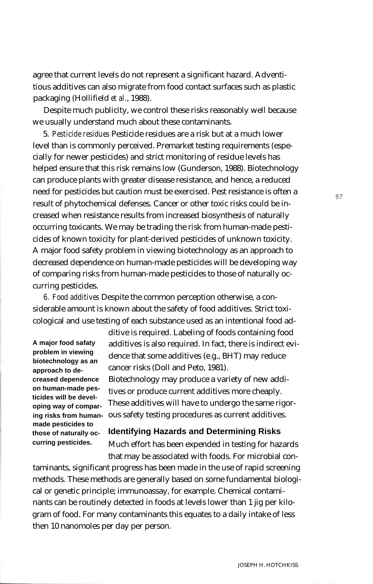agree that current levels do not represent a significant hazard. Adventitious additives can also migrate from food contact surfaces such as plastic packaging (Hollifield *et al.*, 1988).

Despite much publicity, we control these risks reasonably well because we usually understand much about these contaminants.

5. *Pesticide residues* Pesticide residues are a risk but at a much lower level than is commonly perceived. Premarket testing requirements (especially for newer pesticides) and strict monitoring of residue levels has helped ensure that this risk remains low (Gunderson, 1988). Biotechnology can produce plants with greater disease resistance, and hence, a reduced need for pesticides but caution must be exercised. Pest resistance is often a result of phytochemical defenses. Cancer or other toxic risks could be increased when resistance results from increased biosynthesis of naturally occurring toxicants. We may be trading the risk from human-made pesticides of known toxicity for plant-derived pesticides of unknown toxicity. A major food safety problem in viewing biotechnology as an approach to decreased dependence on human-made pesticides will be developing way of comparing risks from human-made pesticides to those of naturally occurring pesticides.

*6. Food additives* Despite the common perception otherwise, a considerable amount is known about the safety of food additives. Strict toxicological and use testing of each substance used as an intentional food ad-

**A major food safaty problem in viewing biotechnology as an approach to decreased dependence on human-made pesticides will be developing way of comparmade pesticides to those of naturally occurring pesticides.**

ditive is required. Labeling of foods containing food additives is also required. In fact, there is indirect evidence that some additives (e g., BHT) may reduce cancer risks (Doll and Peto, 1981). Biotechnology may produce a variety of new additives or produce current additives more cheaply.

These additives will have to undergo the same rigor**ing risks from human-** ous safety testing procedures as current additives.

## **Identifying Hazards and Determining Risks**

Much effort has been expended in testing for hazards that may be associated with foods. For microbial con-

taminants, significant progress has been made in the use of rapid screening methods. These methods are generally based on some fundamental biological or genetic principle; immunoassay, for example. Chemical contaminants can be routinely detected in foods at levels lower than 1 jig per kilogram of food. For many contaminants this equates to a daily intake of less then 10 nanomoles per day per person.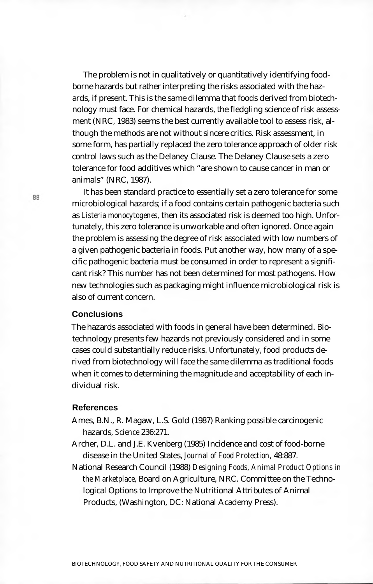The problem is not in qualitatively or quantitatively identifying foodborne hazards but rather interpreting the risks associated with the hazards, if present. This is the same dilemma that foods derived from biotechnology must face. For chemical hazards, the fledgling science of risk assessment (NRC, 1983) seems the best currently available tool to assess risk, although the methods are not without sincere critics. Risk assessment, in some form, has partially replaced the zero tolerance approach of older risk control laws such as the Delaney Clause. The Delaney Clause sets a zero tolerance for food additives which "are shown to cause cancer in man or animals" (NRC, 1987).

It has been standard practice to essentially set a zero tolerance for some microbiological hazards; if a food contains certain pathogenic bacteria such as *Listeria monocytogenes,* then its associated risk is deemed too high. Unfortunately, this zero tolerance is unworkable and often ignored. Once again the problem is assessing the degree of risk associated with low numbers of a given pathogenic bacteria in foods. Put another way, how many of a specific pathogenic bacteria must be consumed in order to represent a significant risk? This number has not been determined for most pathogens. How new technologies such as packaging might influence microbiological risk is also of current concern.

### **Conclusions**

The hazards associated with foods in general have been determined. Biotechnology presents few hazards not previously considered and in some cases could substantially reduce risks. Unfortunately, food products derived from biotechnology will face the same dilemma as traditional foods when it comes to determining the magnitude and acceptability of each individual risk.

### **References**

- Ames, B.N., R. Magaw, L.S. Gold (1987) Ranking possible carcinogenic hazards, *Science* 236:271.
- Archer, D.L. and J.E. Kvenberg (1985) Incidence and cost of food-borne disease in the United States, *Journal of Food Protection,* 48:887.
- National Research Council (1988) *Designing Foods, Animal Product Options in the Marketplace,* Board on Agriculture, NRC. Committee on the Technological Options to Improve the Nutritional Attributes of Animal Products, (Washington, DC: National Academy Press).